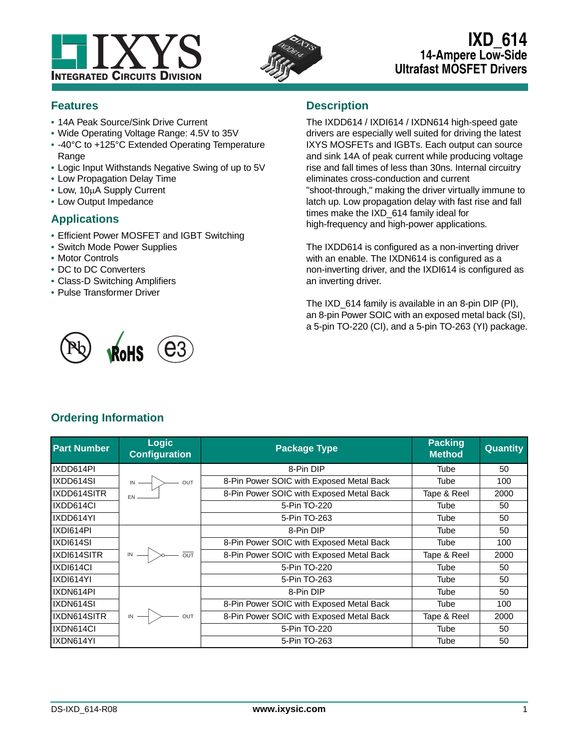



# **IXD\_614 14-Ampere Low-Side Ultrafast MOSFET Drivers**

## **Features**

- **•** 14A Peak Source/Sink Drive Current
- **•** Wide Operating Voltage Range: 4.5V to 35V
- **•** -40°C to +125°C Extended Operating Temperature Range
- **•** Logic Input Withstands Negative Swing of up to 5V
- **•** Low Propagation Delay Time
- Low, 10µA Supply Current
- **•** Low Output Impedance

#### **Applications**

- **•** Efficient Power MOSFET and IGBT Switching
- **•** Switch Mode Power Supplies
- **•** Motor Controls
- **•** DC to DC Converters
- **•** Class-D Switching Amplifiers
- **•** Pulse Transformer Driver

## **Description**

The IXDD614 / IXDI614 / IXDN614 high-speed gate drivers are especially well suited for driving the latest IXYS MOSFETs and IGBTs. Each output can source and sink 14A of peak current while producing voltage rise and fall times of less than 30ns. Internal circuitry eliminates cross-conduction and current "shoot-through," making the driver virtually immune to latch up. Low propagation delay with fast rise and fall times make the IXD\_614 family ideal for high-frequency and high-power applications.

The IXDD614 is configured as a non-inverting driver with an enable. The IXDN614 is configured as a non-inverting driver, and the IXDI614 is configured as an inverting driver.

The IXD 614 family is available in an 8-pin DIP (PI), an 8-pin Power SOIC with an exposed metal back (SI), a 5-pin TO-220 (CI), and a 5-pin TO-263 (YI) package.



## **Ordering Information**

| <b>Part Number</b> | <b>Logic</b><br><b>Configuration</b>           | <b>Package Type</b>                      | <b>Packing</b><br><b>Method</b> | <b>Quantity</b> |
|--------------------|------------------------------------------------|------------------------------------------|---------------------------------|-----------------|
| IXDD614PI          |                                                | 8-Pin DIP                                | Tube                            | 50              |
| IXDD614SI          | $\overrightarrow{N}$ out                       | 8-Pin Power SOIC with Exposed Metal Back | Tube                            | 100             |
| IXDD614SITR        |                                                | 8-Pin Power SOIC with Exposed Metal Back | Tape & Reel                     | 2000            |
| IXDD614CI          |                                                | 5-Pin TO-220                             | Tube                            | 50              |
| IXDD614YI          |                                                | 5-Pin TO-263                             | Tube                            | 50              |
| IXDI614PI          |                                                | 8-Pin DIP                                | Tube                            | 50              |
| IXDI614SI          |                                                | 8-Pin Power SOIC with Exposed Metal Back | Tube                            | 100             |
| IXDI614SITR        | $\overline{100}$ $\rightarrow$ $\overline{00}$ | 8-Pin Power SOIC with Exposed Metal Back | Tape & Reel                     | 2000            |
| IXDI614CI          |                                                | 5-Pin TO-220                             | Tube                            | 50              |
| IXDI614YI          |                                                | 5-Pin TO-263                             | Tube                            | 50              |
| IXDN614PI          |                                                | 8-Pin DIP                                | Tube                            | 50              |
| IXDN614SI          |                                                | 8-Pin Power SOIC with Exposed Metal Back | Tube                            | 100             |
| IXDN614SITR        | $\mathbb{N} \longrightarrow$ out               | 8-Pin Power SOIC with Exposed Metal Back | Tape & Reel                     | 2000            |
| IXDN614CI          |                                                | 5-Pin TO-220                             | Tube                            | 50              |
| IXDN614YI          |                                                | 5-Pin TO-263                             | Tube                            | 50              |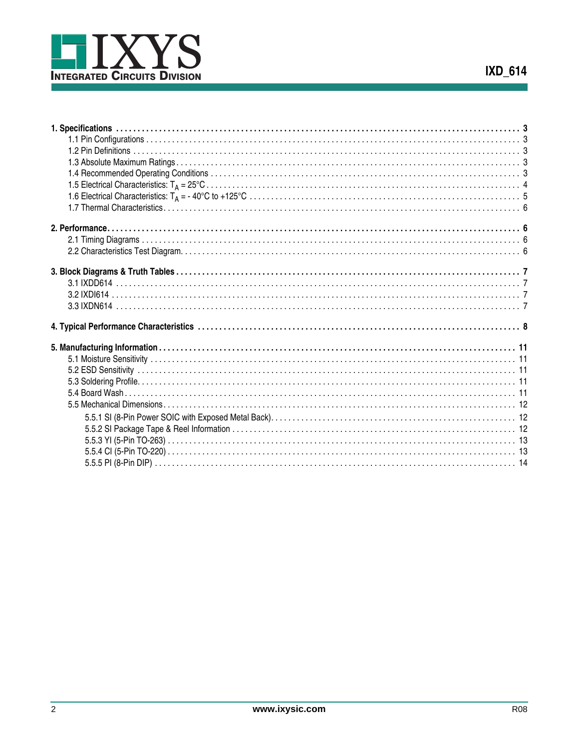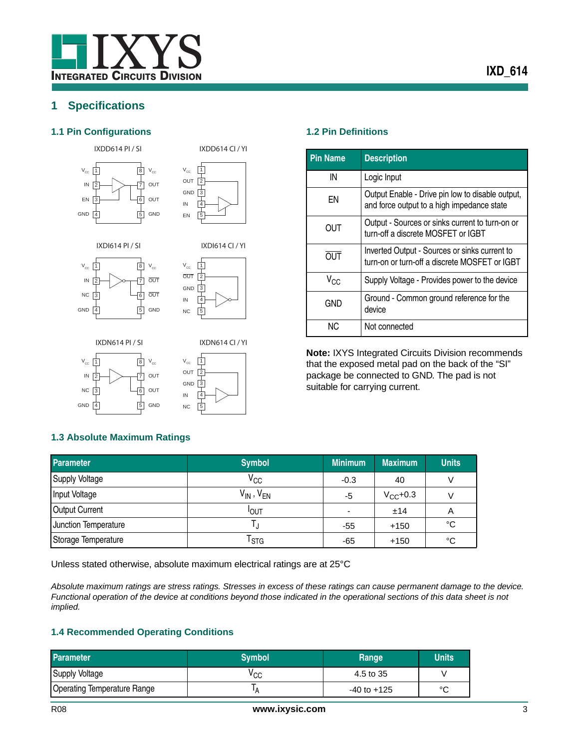## <span id="page-2-0"></span>**1 Specifications**

#### <span id="page-2-1"></span>**1.1 Pin Configurations 1.2 Pin Definitions**

IXDD614 PI / SI





IXDI614 CI / YI

IXDD614 CI / YI

IXDI614 PI / SI







IN

GND







5

<span id="page-2-2"></span>

| <b>Pin Name</b> | <b>Description</b>                                                                             |
|-----------------|------------------------------------------------------------------------------------------------|
| IN              | Logic Input                                                                                    |
| ΕN              | Output Enable - Drive pin low to disable output,<br>and force output to a high impedance state |
| <b>OUT</b>      | Output - Sources or sinks current to turn-on or<br>turn-off a discrete MOSFET or IGBT          |
| <b>OUT</b>      | Inverted Output - Sources or sinks current to<br>turn-on or turn-off a discrete MOSFET or IGBT |
| $V_{CC}$        | Supply Voltage - Provides power to the device                                                  |
| GND             | Ground - Common ground reference for the<br>device                                             |
| NC.             | Not connected                                                                                  |

**Note:** IXYS Integrated Circuits Division recommends that the exposed metal pad on the back of the "SI" package be connected to GND. The pad is not suitable for carrying current.

#### <span id="page-2-3"></span>**1.3 Absolute Maximum Ratings**

| <b>Parameter</b>      | <b>Symbol</b>       | <b>Minimum</b>           | <b>Maximum</b> | <b>Units</b> |
|-----------------------|---------------------|--------------------------|----------------|--------------|
| <b>Supply Voltage</b> | $\rm v_{cc}$        | $-0.3$                   | 40             |              |
| Input Voltage         | $V_{IN}$ , $V_{EN}$ | -5                       | $V_{CC}$ +0.3  |              |
| <b>Output Current</b> | <b>IOUT</b>         | $\overline{\phantom{0}}$ | ±14            | A            |
| Junction Temperature  |                     | -55                      | $+150$         | $^{\circ}C$  |
| Storage Temperature   | l stg               | -65                      | $+150$         | °C           |

Unless stated otherwise, absolute maximum electrical ratings are at 25°C

*Absolute maximum ratings are stress ratings. Stresses in excess of these ratings can cause permanent damage to the device. Functional operation of the device at conditions beyond those indicated in the operational sections of this data sheet is not implied.* 

#### <span id="page-2-4"></span>**1.4 Recommended Operating Conditions**

| <b>Parameter</b>                   | <b>Symbol</b> | Range           | <b>Units</b> |
|------------------------------------|---------------|-----------------|--------------|
| <b>Supply Voltage</b>              | ⊻сс           | 4.5 to 35       |              |
| <b>Operating Temperature Range</b> |               | $-40$ to $+125$ | $\sim$       |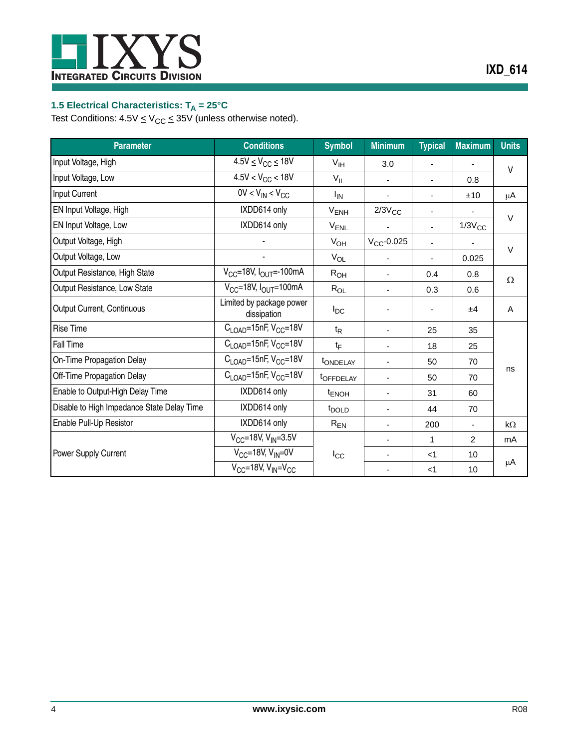

## <span id="page-3-0"></span>1.5 Electrical Characteristics: T<sub>A</sub> = 25°C

Test Conditions:  $4.5V \leq V_{CC} \leq 35V$  (unless otherwise noted).

| <b>Parameter</b>                           | <b>Conditions</b>                             | <b>Symbol</b>           | <b>Minimum</b>           | <b>Typical</b>           | <b>Maximum</b> | <b>Units</b> |
|--------------------------------------------|-----------------------------------------------|-------------------------|--------------------------|--------------------------|----------------|--------------|
| Input Voltage, High                        | $4.5V \leq V_{CC} \leq 18V$                   | V <sub>IH</sub>         | 3.0                      |                          |                | $\vee$       |
| Input Voltage, Low                         | $4.5V \leq V_{CC} \leq 18V$                   | $V_{IL}$                | $\overline{\phantom{0}}$ | $\blacksquare$           | 0.8            |              |
| <b>Input Current</b>                       | $0V \leq V_{IN} \leq V_{CC}$                  | Ι <sub>IN</sub>         |                          |                          | ±10            | μA           |
| EN Input Voltage, High                     | IXDD614 only                                  | $V_{ENH}$               | $2/3V_{CC}$              | $\overline{\phantom{a}}$ |                | $\vee$       |
| EN Input Voltage, Low                      | IXDD614 only                                  | $V_{ENL}$               |                          |                          | $1/3V_{CC}$    |              |
| Output Voltage, High                       |                                               | $V_{OH}$                | $V_{CC}$ -0.025          | $\blacksquare$           |                |              |
| Output Voltage, Low                        | ٠                                             | $V_{OL}$                |                          |                          | 0.025          | $\vee$       |
| Output Resistance, High State              | $V_{CC}$ =18V, $I_{OUT}$ =-100mA              | $R_{OH}$                | $\overline{\phantom{0}}$ | 0.4                      | 0.8            | $\Omega$     |
| Output Resistance, Low State               | $V_{CC}$ =18V, $I_{OUT}$ =100mA               | $R_{OL}$                | -                        | 0.3                      | 0.6            |              |
| Output Current, Continuous                 | Limited by package power<br>dissipation       | $I_{DC}$                |                          |                          | ±4             | Α            |
| <b>Rise Time</b>                           | $C_{\text{LOAD}}$ =15nF, V <sub>CC</sub> =18V | $t_{\mathsf{R}}$        | $\overline{\phantom{0}}$ | 25                       | 35             |              |
| Fall Time                                  | $C_{\text{LOAD}}$ =15nF, V <sub>CC</sub> =18V | $t_{\text{F}}$          | -                        | 18                       | 25             |              |
| On-Time Propagation Delay                  | $C_{\text{LOAD}}$ =15nF, V <sub>CC</sub> =18V | tONDELAY                | -                        | 50                       | 70             |              |
| Off-Time Propagation Delay                 | $C_{\text{LOAD}}$ =15nF, V <sub>CC</sub> =18V | <b><i>tOFFDELAY</i></b> |                          | 50                       | 70             | ns           |
| Enable to Output-High Delay Time           | IXDD614 only                                  | t <sub>ENOH</sub>       | $\overline{\phantom{0}}$ | 31                       | 60             |              |
| Disable to High Impedance State Delay Time | IXDD614 only                                  | t <sub>DOLD</sub>       |                          | 44                       | 70             |              |
| Enable Pull-Up Resistor                    | IXDD614 only                                  | $R_{EN}$                | $\overline{\phantom{0}}$ | 200                      | ٠              | $k\Omega$    |
|                                            | $V_{CC}$ =18V, $V_{IN}$ =3.5V                 |                         | $\overline{\phantom{0}}$ | 1                        | 2              | mA           |
| Power Supply Current                       | $V_{CC}$ =18V, $V_{IN}$ =0V                   | $I_{\rm CC}$            | ٠                        | $<$ 1                    | 10             |              |
|                                            | $V_{CC}$ =18V, $V_{IN}$ = $V_{CC}$            |                         | $\overline{\phantom{0}}$ | $<$ 1                    | 10             | μA           |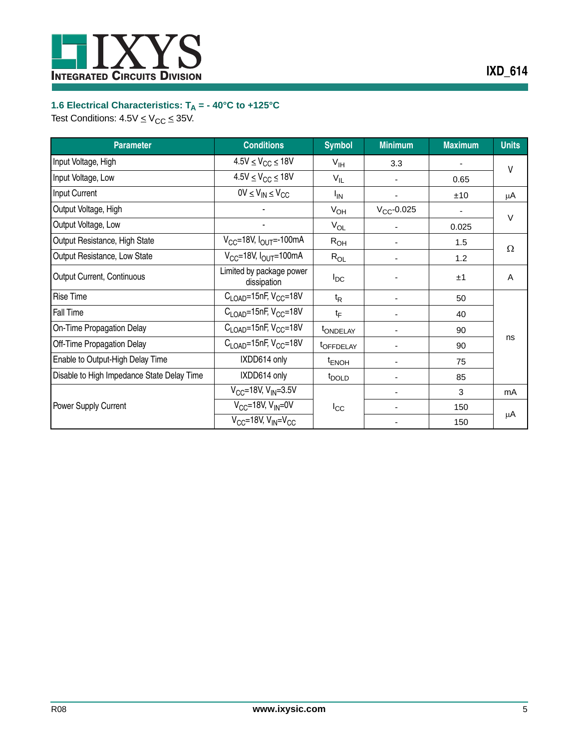

## <span id="page-4-0"></span>**1.6 Electrical Characteristics: TA = - 40°C to +125°C**

Test Conditions:  $4.5V \leq V_{CC} \leq 35V$ .

| <b>Parameter</b>                           | <b>Conditions</b>                             | <b>Symbol</b>           | <b>Minimum</b>  | <b>Maximum</b> | <b>Units</b> |
|--------------------------------------------|-----------------------------------------------|-------------------------|-----------------|----------------|--------------|
| Input Voltage, High                        | $4.5V \leq V_{CC} \leq 18V$                   | $V_{\text{IH}}$         | 3.3             | ٠              | ۷            |
| Input Voltage, Low                         | $4.5V \leq V_{CC} \leq 18V$                   | $V_{IL}$                |                 | 0.65           |              |
| Input Current                              | $0V \leq V_{IN} \leq V_{CC}$                  | l <sub>IN</sub>         |                 | ±10            | μA           |
| Output Voltage, High                       |                                               | $V_{OH}$                | $V_{CC}$ -0.025 |                | $\vee$       |
| Output Voltage, Low                        |                                               | $V_{OL}$                |                 | 0.025          |              |
| Output Resistance, High State              | $V_{CC}$ =18V, $I_{OUT}$ =-100mA              | $R_{OH}$                |                 | 1.5            | Ω            |
| Output Resistance, Low State               | $V_{CC}$ =18V, $I_{OUT}$ =100mA               | $R_{OL}$                |                 | 1.2            |              |
| Output Current, Continuous                 | Limited by package power<br>dissipation       | $I_{DC}$                |                 | ±1             | A            |
| <b>Rise Time</b>                           | $C_{\text{LOAD}}$ =15nF, V <sub>CC</sub> =18V | $t_{\mathsf{R}}$        |                 | 50             |              |
| Fall Time                                  | $C_{\text{LOAD}}$ =15nF, V <sub>CC</sub> =18V | tF                      |                 | 40             |              |
| On-Time Propagation Delay                  | $C_{\text{LOAD}}$ =15nF, V <sub>CC</sub> =18V | tONDELAY                | ٠               | 90             |              |
| Off-Time Propagation Delay                 | $C_{\text{LOAD}}$ =15nF, V <sub>CC</sub> =18V | <b><i>t</i>OFFDELAY</b> | ٠               | 90             | ns           |
| Enable to Output-High Delay Time           | IXDD614 only                                  | <sup>t</sup> ENOH       |                 | 75             |              |
| Disable to High Impedance State Delay Time | IXDD614 only                                  | t <sub>DOLD</sub>       |                 | 85             |              |
|                                            | $V_{CC}$ =18V, V <sub>IN</sub> =3.5V          |                         |                 | 3              | mA           |
| Power Supply Current                       | $V_{CC}$ =18V, $V_{IN}$ =0V                   | $I_{\rm CC}$            |                 | 150            |              |
|                                            | $V_{CC}$ =18V, $V_{IN}$ = $V_{CC}$            |                         |                 | 150            | μA           |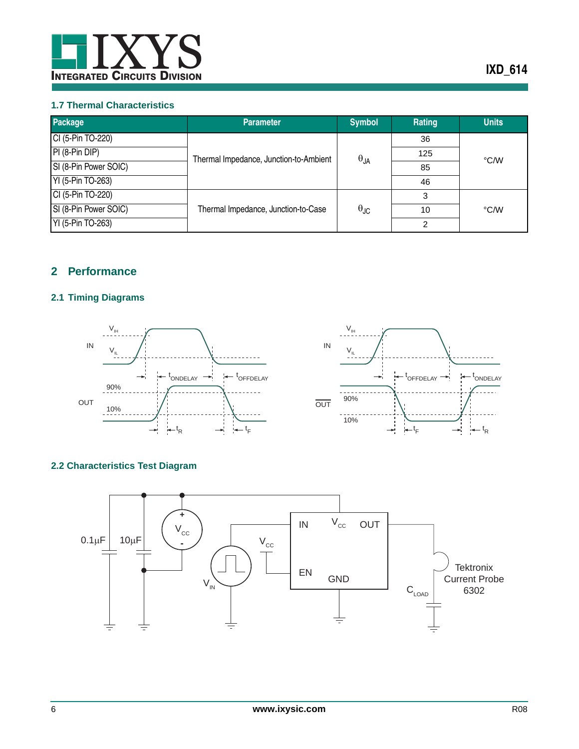

#### <span id="page-5-0"></span>**1.7 Thermal Characteristics**

| Package               | <b>Parameter</b>                       | <b>Symbol</b>          | Rating | <b>Units</b> |
|-----------------------|----------------------------------------|------------------------|--------|--------------|
| CI (5-Pin TO-220)     |                                        |                        | 36     |              |
| PI (8-Pin DIP)        |                                        |                        | 125    | °C/W         |
| SI (8-Pin Power SOIC) | Thermal Impedance, Junction-to-Ambient | $\theta_{JA}$          | 85     |              |
| YI (5-Pin TO-263)     |                                        |                        | 46     |              |
| CI (5-Pin TO-220)     |                                        |                        | 3      |              |
| SI (8-Pin Power SOIC) | Thermal Impedance, Junction-to-Case    | $\theta_{\mathsf{JC}}$ | 10     | °C/W         |
| YI (5-Pin TO-263)     |                                        |                        | っ      |              |

## <span id="page-5-1"></span>**2 Performance**

## <span id="page-5-2"></span>**2.1 Timing Diagrams**





## <span id="page-5-3"></span>**2.2 Characteristics Test Diagram**

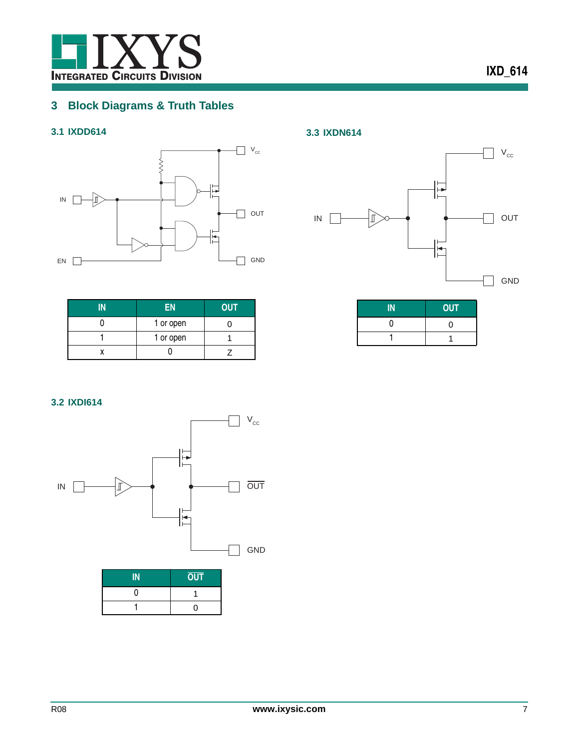

# <span id="page-6-0"></span>**3 Block Diagrams & Truth Tables**

## <span id="page-6-1"></span>**3.1 IXDD614**



| EN        | <b>OUT</b> |
|-----------|------------|
| 1 or open |            |
| 1 or open |            |
|           |            |

<span id="page-6-3"></span>**3.3 IXDN614**



| <b>OUT</b> |
|------------|
|            |
|            |

<span id="page-6-2"></span>**3.2 IXDI614**



| <b>OUT</b> |
|------------|
|            |
| ∩          |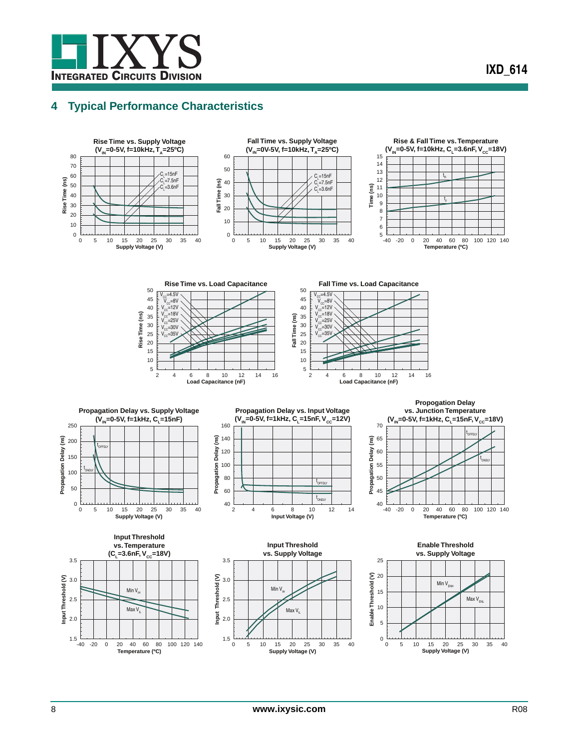

## <span id="page-7-0"></span>**4 Typical Performance Characteristics**

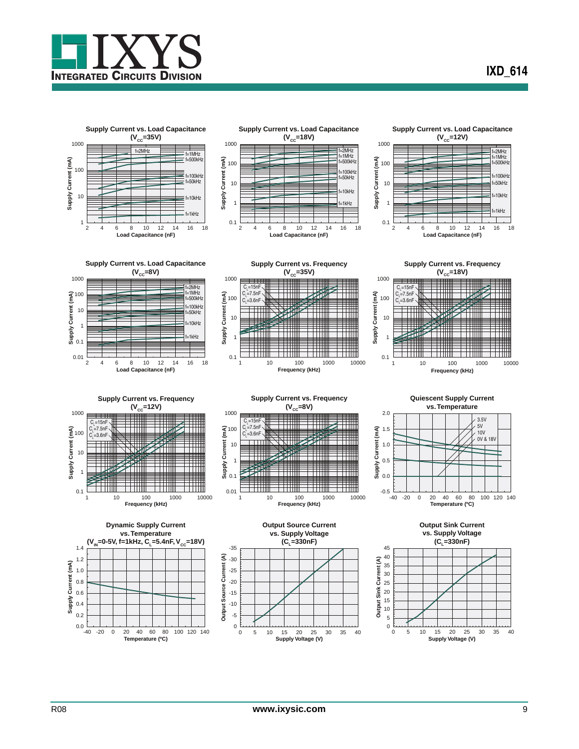





**Supply Current vs. Load Capacitance** (V<sub>cc</sub>=12V)









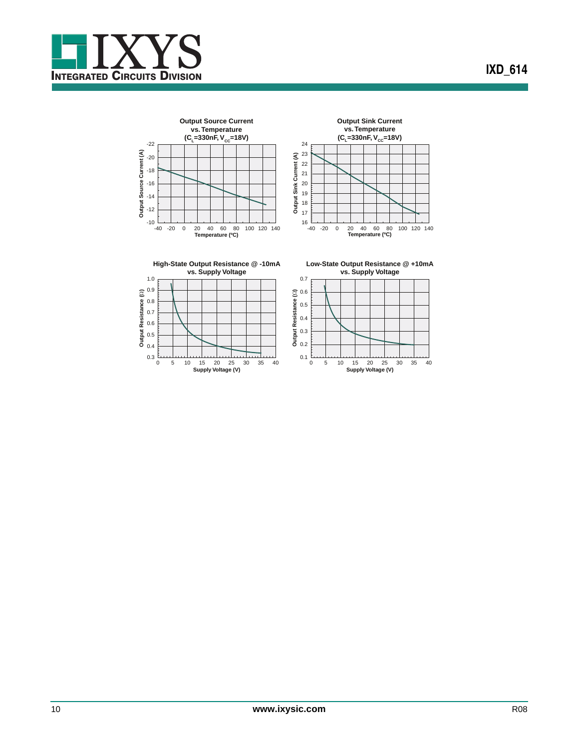









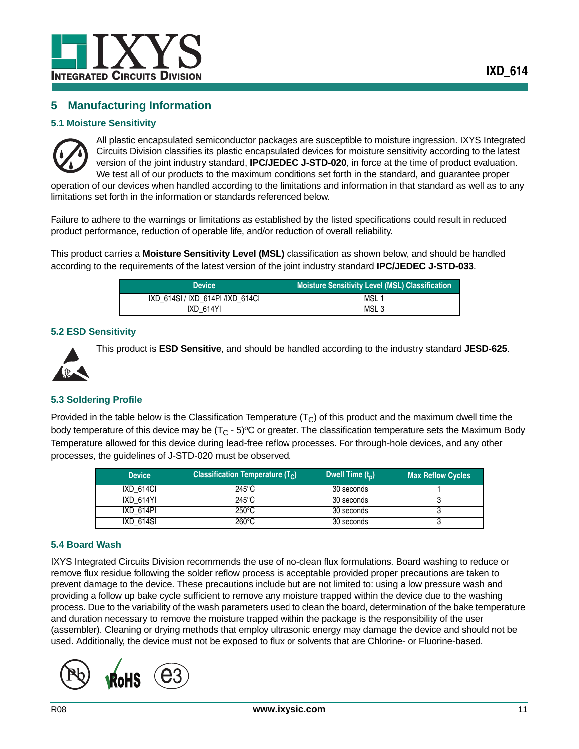## <span id="page-10-0"></span>**5 Manufacturing Information**

#### <span id="page-10-1"></span>**5.1 Moisture Sensitivity**



All plastic encapsulated semiconductor packages are susceptible to moisture ingression. IXYS Integrated Circuits Division classifies its plastic encapsulated devices for moisture sensitivity according to the latest version of the joint industry standard, **IPC/JEDEC J-STD-020**, in force at the time of product evaluation. We test all of our products to the maximum conditions set forth in the standard, and quarantee proper operation of our devices when handled according to the limitations and information in that standard as well as to any

limitations set forth in the information or standards referenced below.

Failure to adhere to the warnings or limitations as established by the listed specifications could result in reduced product performance, reduction of operable life, and/or reduction of overall reliability.

This product carries a **Moisture Sensitivity Level (MSL)** classification as shown below, and should be handled according to the requirements of the latest version of the joint industry standard **IPC/JEDEC J-STD-033**.

| <b>Device</b>                     | Moisture Sensitivity Level (MSL) Classification |
|-----------------------------------|-------------------------------------------------|
| IXD 614SI / IXD 614PI / IXD 614CI | MSL                                             |
| <b>IXD 614YI</b>                  | MSL <sub>3</sub>                                |

#### <span id="page-10-2"></span>**5.2 ESD Sensitivity**



This product is **ESD Sensitive**, and should be handled according to the industry standard **JESD-625**.

#### <span id="page-10-3"></span>**5.3 Soldering Profile**

Provided in the table below is the Classification Temperature  $(T<sub>C</sub>)$  of this product and the maximum dwell time the body temperature of this device may be  $(T_C - 5)^{\circ}C$  or greater. The classification temperature sets the Maximum Body Temperature allowed for this device during lead-free reflow processes. For through-hole devices, and any other processes, the guidelines of J-STD-020 must be observed.

| <b>Device</b> | <b>Classification Temperature (Tc)</b> | Dwell Time $(t_n)$ | <b>Max Reflow Cycles</b> |
|---------------|----------------------------------------|--------------------|--------------------------|
| IXD 614CI     | 245°C                                  | 30 seconds         |                          |
| IXD 614YI     | 245°C                                  | 30 seconds         |                          |
| IXD 614PI     | $250^{\circ}$ C                        | 30 seconds         |                          |
| IXD 614SI     | 260°C                                  | 30 seconds         |                          |

#### <span id="page-10-4"></span>**5.4 Board Wash**

IXYS Integrated Circuits Division recommends the use of no-clean flux formulations. Board washing to reduce or remove flux residue following the solder reflow process is acceptable provided proper precautions are taken to prevent damage to the device. These precautions include but are not limited to: using a low pressure wash and providing a follow up bake cycle sufficient to remove any moisture trapped within the device due to the washing process. Due to the variability of the wash parameters used to clean the board, determination of the bake temperature and duration necessary to remove the moisture trapped within the package is the responsibility of the user (assembler). Cleaning or drying methods that employ ultrasonic energy may damage the device and should not be used. Additionally, the device must not be exposed to flux or solvents that are Chlorine- or Fluorine-based.

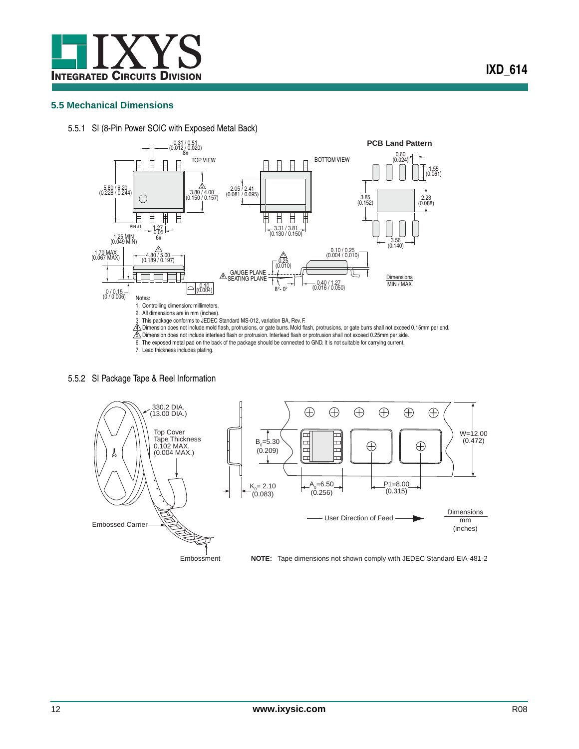

#### <span id="page-11-0"></span>**5.5 Mechanical Dimensions**

<span id="page-11-1"></span>5.5.1 SI (8-Pin Power SOIC with Exposed Metal Back)



#### <span id="page-11-2"></span>5.5.2 SI Package Tape & Reel Information

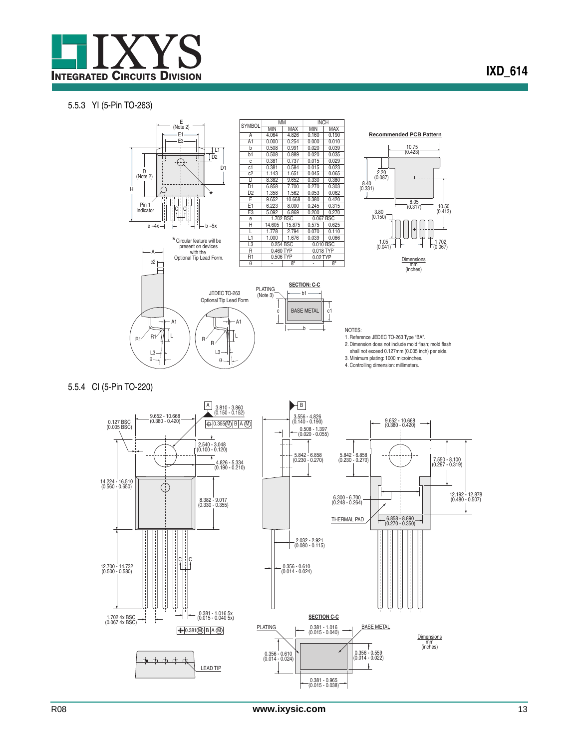

#### <span id="page-12-0"></span>5.5.3 YI (5-Pin TO-263)

<span id="page-12-1"></span>